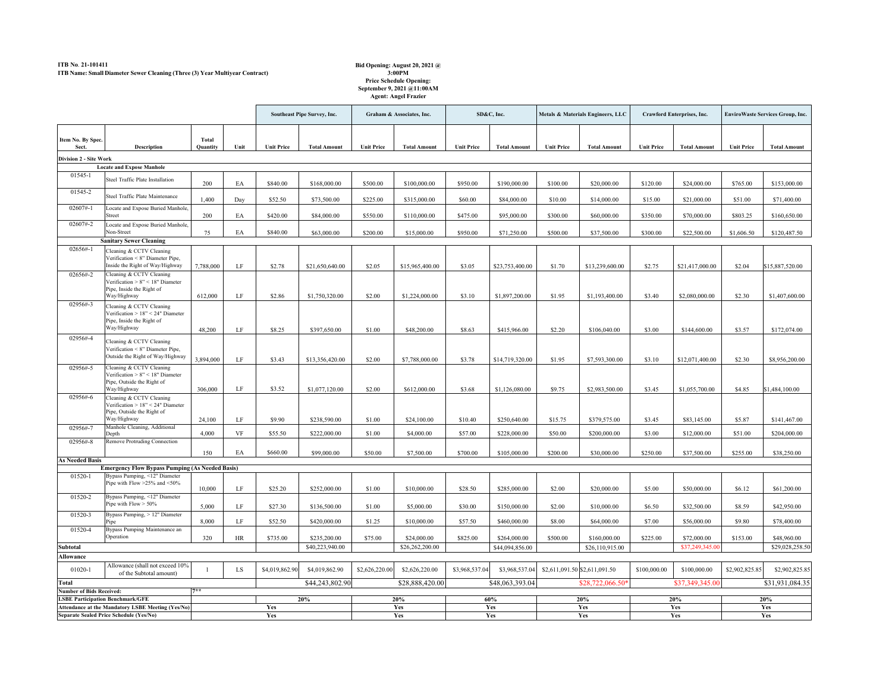## **ITB No**. **21-101411 ITB Name: Small Diameter Sewer Cleaning (Three (3) Year Multiyear Contract)**

## **Bid Opening: August 20, 2021 @ 3:00PM Price Schedule Opening: September 9, 2021 @11:00AM Agent: Angel Frazier**

|                                                   |                                                                                                               |                          |            | <b>Southeast Pipe Survey, Inc.</b> |                     | Graham & Associates, Inc. |                     | SD&C, Inc.        |                     | Metals & Materials Engineers, LLC |                     | <b>Crawford Enterprises, Inc.</b> |                     | <b>EnviroWaste Services Group, Inc.</b> |                     |
|---------------------------------------------------|---------------------------------------------------------------------------------------------------------------|--------------------------|------------|------------------------------------|---------------------|---------------------------|---------------------|-------------------|---------------------|-----------------------------------|---------------------|-----------------------------------|---------------------|-----------------------------------------|---------------------|
| Item No. By Spec.<br>Sect.                        | <b>Description</b>                                                                                            | <b>Total</b><br>Quantity | Unit       | <b>Unit Price</b>                  | <b>Total Amount</b> | <b>Unit Price</b>         | <b>Total Amount</b> | <b>Unit Price</b> | <b>Total Amount</b> | <b>Unit Price</b>                 | <b>Total Amount</b> | <b>Unit Price</b>                 | <b>Total Amount</b> | <b>Unit Price</b>                       | <b>Total Amount</b> |
| <b>Division 2 - Site Work</b>                     |                                                                                                               |                          |            |                                    |                     |                           |                     |                   |                     |                                   |                     |                                   |                     |                                         |                     |
|                                                   | <b>Locate and Expose Manhole</b>                                                                              |                          |            |                                    |                     |                           |                     |                   |                     |                                   |                     |                                   |                     |                                         |                     |
| 01545-1                                           | Steel Traffic Plate Installation                                                                              | 200                      | EA         | \$840.00                           | \$168,000.00        | \$500.00                  | \$100,000.00        | \$950.00          | \$190,000.00        | \$100.00                          | \$20,000.00         | \$120.00                          | \$24,000.00         | \$765.00                                | \$153,000.00        |
| 01545-2                                           | Steel Traffic Plate Maintenance                                                                               | 1,400                    | Day        | \$52.50                            | \$73,500.00         | \$225.00                  | \$315,000.00        | \$60.00           | \$84,000.00         | \$10.00                           | \$14,000.00         | \$15.00                           | \$21,000.00         | \$51.00                                 | \$71,400.00         |
| $02607# - 1$                                      | Locate and Expose Buried Manhole,<br><b>Street</b>                                                            | 200                      | EA         | \$420.00                           | \$84,000.00         | \$550.00                  | \$110,000.00        | \$475.00          | \$95,000.00         | \$300.00                          | \$60,000.00         | \$350.00                          | \$70,000.00         | \$803.25                                | \$160,650.00        |
| 02607#-2                                          | Locate and Expose Buried Manhole,<br>Non-Street                                                               | 75                       | EA         | \$840.00                           | \$63,000.00         | \$200.00                  | \$15,000.00         | \$950.00          | \$71,250.00         | \$500.00                          | \$37,500.00         | \$300.00                          | \$22,500.00         | \$1,606.50                              | \$120,487.50        |
|                                                   | <b>Sanitary Sewer Cleaning</b>                                                                                |                          |            |                                    |                     |                           |                     |                   |                     |                                   |                     |                                   |                     |                                         |                     |
| $02656# - 1$                                      | Cleaning & CCTV Cleaning<br>Verification < 8" Diameter Pipe,<br>Inside the Right of Way/Highway               | 7,788,000                | LF         | \$2.78                             | \$21,650,640.00     | \$2.05                    | \$15,965,400.00     | \$3.05            | \$23,753,400.00     | \$1.70                            | \$13,239,600.00     | \$2.75                            | \$21,417,000.00     | \$2.04                                  | \$15,887,520.00     |
| 02656#-2                                          | Cleaning & CCTV Cleaning<br>Verification $> 8$ " < 18" Diameter<br>Pipe, Inside the Right of<br>Way/Highway   | 612,000                  | LF         | \$2.86                             | \$1,750,320.00      | \$2.00                    | \$1,224,000.00      | \$3.10            | \$1,897,200.00      | \$1.95                            | \$1,193,400.00      | \$3.40                            | \$2,080,000.00      | \$2.30                                  | \$1,407,600.00      |
| 02956#-3                                          | Cleaning & CCTV Cleaning<br>Verification $> 18$ " < 24" Diameter<br>Pipe, Inside the Right of<br>Way/Highway  | 48,200                   | LF         | \$8.25                             | \$397,650.00        | \$1.00                    | \$48,200.00         | \$8.63            | \$415,966.00        | \$2.20                            | \$106,040.00        | \$3.00                            | \$144,600.00        | \$3.57                                  | \$172,074.00        |
| 02956#-4                                          | Cleaning & CCTV Cleaning<br>Verification < 8" Diameter Pipe,<br>Outside the Right of Way/Highway              | 3,894,000                | LF         | \$3.43                             | \$13,356,420.00     | \$2.00                    | \$7,788,000.00      | \$3.78            | \$14,719,320.00     | \$1.95                            | \$7,593,300.00      | \$3.10                            | \$12,071,400.00     | \$2.30                                  | \$8,956,200.00      |
| 02956#-5                                          | Cleaning & CCTV Cleaning<br>Verification $> 8$ " < 18" Diameter<br>Pipe, Outside the Right of                 |                          |            |                                    |                     |                           |                     |                   |                     |                                   |                     |                                   |                     |                                         |                     |
| 02956#-6                                          | Way/Highway<br>Cleaning & CCTV Cleaning<br>Verification $> 18$ " < 24" Diameter<br>Pipe, Outside the Right of | 306,000                  | LF         | \$3.52                             | \$1,077,120.00      | \$2.00                    | \$612,000.00        | \$3.68            | \$1,126,080.00      | \$9.75                            | \$2,983,500.00      | \$3.45                            | \$1,055,700.00      | \$4.85                                  | \$1,484,100.00      |
|                                                   | Way/Highway                                                                                                   | 24,100                   | LF         | \$9.90                             | \$238,590.00        | \$1.00                    | \$24,100.00         | \$10.40           | \$250,640.00        | \$15.75                           | \$379,575.00        | \$3.45                            | \$83,145.00         | \$5.87                                  | \$141,467.00        |
| 02956#-7<br>02956#-8                              | Manhole Cleaning, Additional<br>Depth<br>Remove Protruding Connection                                         | 4,000                    | <b>VF</b>  | \$55.50                            | \$222,000.00        | \$1.00                    | \$4,000.00          | \$57.00           | \$228,000.00        | \$50.00                           | \$200,000.00        | \$3.00                            | \$12,000.00         | \$51.00                                 | \$204,000.00        |
|                                                   |                                                                                                               | 150                      | EA         | \$660.00                           | \$99,000.00         | \$50.00                   | \$7,500.00          | \$700.00          | \$105,000.00        | \$200.00                          | \$30,000.00         | \$250.00                          | \$37,500.00         | \$255.00                                | \$38,250.00         |
| <b>As Needed Basis</b>                            |                                                                                                               |                          |            |                                    |                     |                           |                     |                   |                     |                                   |                     |                                   |                     |                                         |                     |
|                                                   | <b>Emergency Flow Bypass Pumping (As Needed Basis)</b>                                                        |                          |            |                                    |                     |                           |                     |                   |                     |                                   |                     |                                   |                     |                                         |                     |
| 01520-1                                           | Bypass Pumping, <12" Diameter<br>Pipe with Flow $>25\%$ and $<50\%$                                           | 10,000                   | LF         | \$25.20                            | \$252,000.00        | \$1.00                    | \$10,000.00         | \$28.50           | \$285,000.00        | \$2.00                            | \$20,000.00         | \$5.00                            | \$50,000.00         | \$6.12                                  | \$61,200.00         |
| 01520-2                                           | Bypass Pumping, <12" Diameter<br>Pipe with $Flow > 50\%$                                                      | 5,000                    | LF         | \$27.30                            | \$136,500.00        | \$1.00                    | \$5,000.00          | \$30.00           | \$150,000.00        | \$2.00                            | \$10,000.00         | \$6.50                            | \$32,500.00         | \$8.59                                  | \$42,950.00         |
| 01520-3                                           | Bypass Pumping, > 12" Diameter<br>Pipe                                                                        | 8,000                    | LF         | \$52.50                            | \$420,000.00        | \$1.25                    | \$10,000.00         | \$57.50           | \$460,000.00        | \$8.00                            | \$64,000.00         | \$7.00                            | \$56,000.00         | \$9.80                                  | \$78,400.00         |
| 01520-4                                           | Bypass Pumping Maintenance an<br>Operation                                                                    | 320                      | HR         | \$735.00                           | \$235,200.00        | \$75.00                   | \$24,000.00         | \$825.00          | \$264,000.00        | \$500.00                          | \$160,000.00        | \$225.00                          | \$72,000.00         | \$153.00                                | \$48,960.00         |
| Subtotal                                          |                                                                                                               |                          |            |                                    | \$40,223,940.00     |                           | \$26,262,200.00     |                   | \$44,094,856.00     |                                   | \$26,110,915.00     |                                   | \$37,249,345.00     |                                         | \$29,028,258.50     |
| <b>Allowance</b>                                  |                                                                                                               |                          |            |                                    |                     |                           |                     |                   |                     |                                   |                     |                                   |                     |                                         |                     |
| 01020-1                                           | Allowance (shall not exceed 10%<br>of the Subtotal amount)                                                    |                          | LS         | \$4,019,862.90                     | \$4,019,862.90      | \$2,626,220.00            | \$2,626,220.00      | \$3,968,537.04    | \$3,968,537.04      | $$2,611,091.50$ \$2,611,091.50    |                     | \$100,000.00                      | \$100,000.00        | \$2,902,825.85                          | \$2,902,825.85      |
| <b>Total</b>                                      |                                                                                                               |                          |            |                                    | \$44,243,802.90     |                           | \$28,888,420.00     |                   | \$48,063,393.04     |                                   | $$28,722,066.50*$   |                                   | \$37,349,345.00     |                                         | \$31,931,084.35     |
| <b>Number of Bids Received:</b>                   | <b>LSBE Participation Benchmark/GFE</b>                                                                       | $7**$                    |            |                                    |                     | 20%                       |                     | 60%               |                     | 20%                               |                     | 20%                               |                     | 20%                                     |                     |
| Attendance at the Mandatory LSBE Meeting (Yes/No) |                                                                                                               |                          | 20%<br>Yes |                                    | Yes                 |                           | Yes                 |                   | Yes                 |                                   | Yes                 |                                   | Yes                 |                                         |                     |
| <b>Separate Sealed Price Schedule (Yes/No)</b>    |                                                                                                               |                          |            | Yes                                |                     | Yes                       |                     | Yes               |                     | Yes                               |                     | Yes                               |                     | Yes                                     |                     |